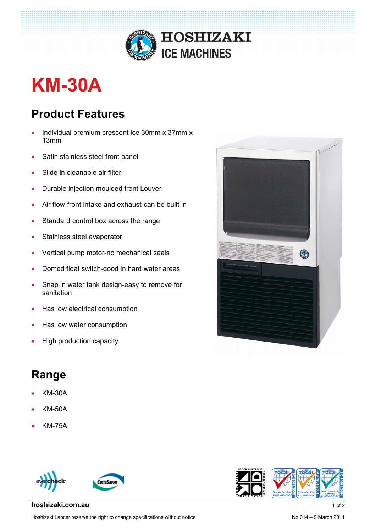

## **KM-30A**

## **Product Features**

- Individual premium crescent ice 30mm x 37mm x 13mm
- Satin stainless steel front panel
- Slide in cleanable air filter
- Durable injection moulded front Louver
- Air flow-front intake and exhaust-can be built in
- Standard control box across the range
- Stainless steel evaporator
- Vertical pump motor-no mechanical seals
- Domed float switch-good in hard water areas
- Snap in water tank design-easy to remove for sanitation
- Has low electrical consumption
- Has low water consumption
- High production capacity

## **Range**

- KM-30A
- KM-50A
- KM-75A